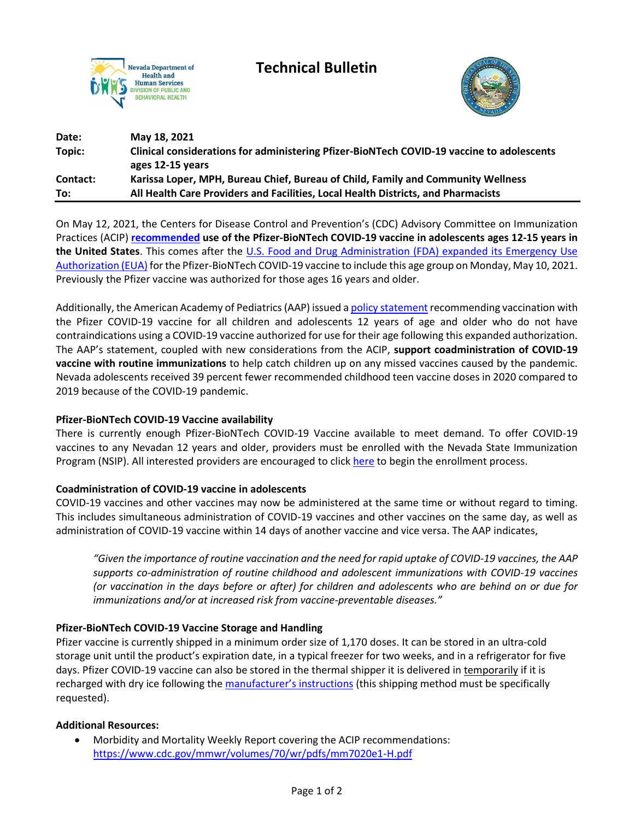

**Technical Bulletin**



| Date:    | May 18, 2021                                                                              |
|----------|-------------------------------------------------------------------------------------------|
| Topic:   | Clinical considerations for administering Pfizer-BioNTech COVID-19 vaccine to adolescents |
|          | ages 12-15 years                                                                          |
| Contact: | Karissa Loper, MPH, Bureau Chief, Bureau of Child, Family and Community Wellness          |
| To:      | All Health Care Providers and Facilities, Local Health Districts, and Pharmacists         |

On May 12, 2021, the Centers for Disease Control and Prevention's (CDC) Advisory Committee on Immunization Practices (ACIP) **[recommended](https://www.cdc.gov/mmwr/volumes/70/wr/pdfs/mm7020e1-H.pdf) use of the Pfizer-BioNTech COVID-19 vaccine in adolescents ages 12-15 years in the United States**. This comes after the [U.S. Food and Drug Administration \(FDA\) expanded its Emergency Use](https://www.fda.gov/news-events/press-announcements/coronavirus-covid-19-update-fda-authorizes-pfizer-biontech-covid-19-vaccine-emergency-use)  [Authorization \(EUA\)](https://www.fda.gov/news-events/press-announcements/coronavirus-covid-19-update-fda-authorizes-pfizer-biontech-covid-19-vaccine-emergency-use) for the Pfizer-BioNTech COVID-19 vaccine to include this age group on Monday, May 10, 2021. Previously the Pfizer vaccine was authorized for those ages 16 years and older.

Additionally, the American Academy of Pediatrics(AAP) issued [a policy statement](https://pediatrics.aappublications.org/content/pediatrics/early/2021/05/11/peds.2021-052336.full.pdf) recommending vaccination with the Pfizer COVID-19 vaccine for all children and adolescents 12 years of age and older who do not have contraindications using a COVID-19 vaccine authorized for use for their age following this expanded authorization. The AAP's statement, coupled with new considerations from the ACIP, **support coadministration of COVID-19 vaccine with routine immunizations** to help catch children up on any missed vaccines caused by the pandemic. Nevada adolescents received 39 percent fewer recommended childhood teen vaccine doses in 2020 compared to 2019 because of the COVID-19 pandemic.

## **Pfizer-BioNTech COVID-19 Vaccine availability**

There is currently enough Pfizer-BioNTech COVID-19 Vaccine available to meet demand. To offer COVID-19 vaccines to any Nevadan 12 years and older, providers must be enrolled with the Nevada State Immunization Program (NSIP). All interested providers are encouraged to click [here](https://www.surveymonkey.com/r/9VLNBGB) to begin the enrollment process.

## **Coadministration of COVID-19 vaccine in adolescents**

COVID-19 vaccines and other vaccines may now be administered at the same time or without regard to timing. This includes simultaneous administration of COVID-19 vaccines and other vaccines on the same day, as well as administration of COVID-19 vaccine within 14 days of another vaccine and vice versa. The AAP indicates,

*"Given the importance of routine vaccination and the need for rapid uptake of COVID-19 vaccines, the AAP supports co-administration of routine childhood and adolescent immunizations with COVID-19 vaccines (or vaccination in the days before or after) for children and adolescents who are behind on or due for immunizations and/or at increased risk from vaccine-preventable diseases."*

## **Pfizer-BioNTech COVID-19 Vaccine Storage and Handling**

Pfizer vaccine is currently shipped in a minimum order size of 1,170 doses. It can be stored in an ultra-cold storage unit until the product's expiration date, in a typical freezer for two weeks, and in a refrigerator for five days. Pfizer COVID-19 vaccine can also be stored in the thermal shipper it is delivered in temporarily if it is recharged with dry ice following the [manufacturer's instructions](https://www.cdc.gov/vaccines/covid-19/info-by-product/pfizer/downloads/storage-summary.pdf) (this shipping method must be specifically requested).

## **Additional Resources:**

• Morbidity and Mortality Weekly Report covering the ACIP recommendations: <https://www.cdc.gov/mmwr/volumes/70/wr/pdfs/mm7020e1-H.pdf>